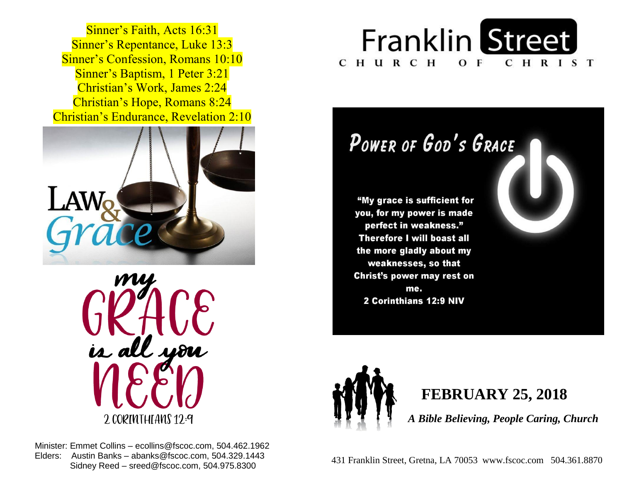Sinner's Repentance, Luke 13:3 **Sinner's Confession, Romans 10:10 Sinner's Baptism, 1 Peter 3:21**  Christian's Work, James 2:24  Christian's Hope, Romans 8:24  Christian's Endurance, Revelation 2:10 Sinner's Faith, Acts 16:31





 Minister: Emmet Collins – ecollins@fscoc.com, 504.462.1962  Elders: Austin Banks – abanks@fscoc.com, 504.329.1443 Sidney Reed – sreed@fscoc.com, 504.975.8300



# POWER OF GOD'S GRACE

"My grace is sufficient for you, for my power is made perfect in weakness." **Therefore I will boast all** the more gladly about my weaknesses, so that Christ's power may rest on me. 2 Corinthians 12:9 NIV



### **FEBRUARY 25, 2018**

 *A Bible Believing, People Caring, Church*